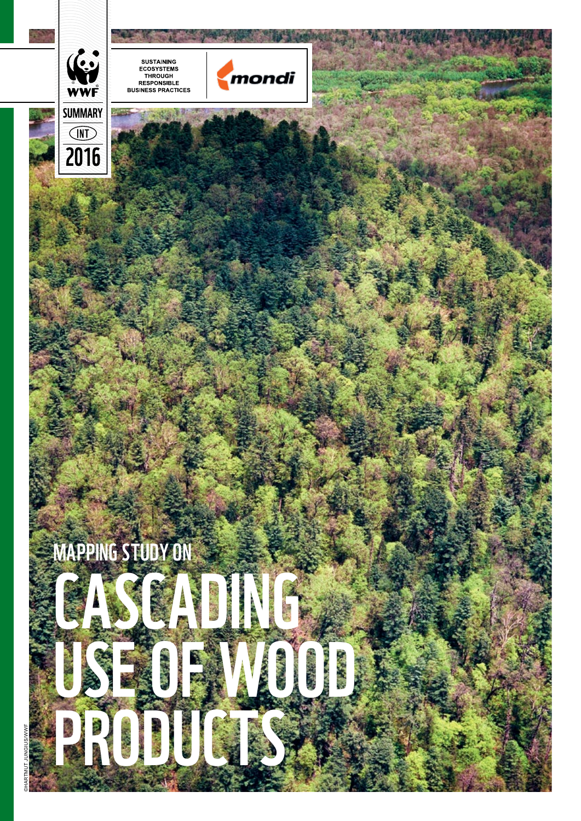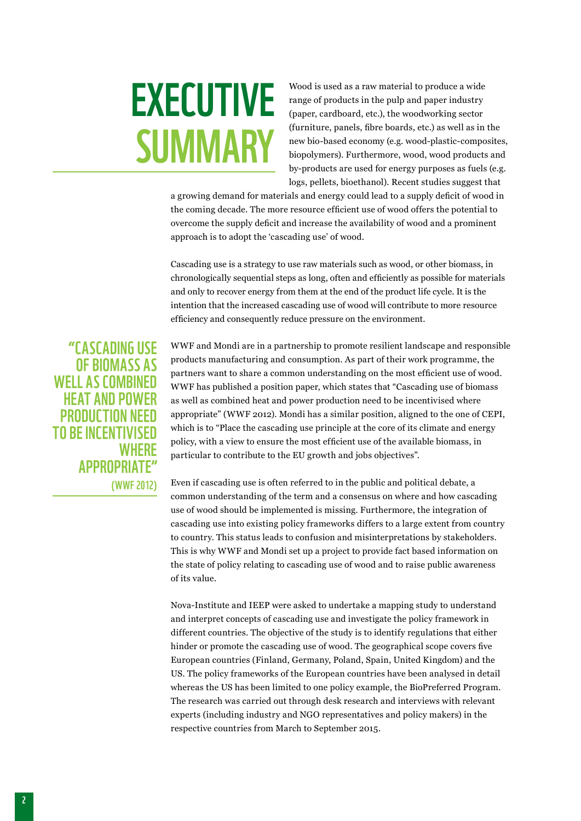# **EXECUTIVE SUMMARY**

Wood is used as a raw material to produce a wide range of products in the pulp and paper industry (paper, cardboard, etc.), the woodworking sector (furniture, panels, fibre boards, etc.) as well as in the new bio-based economy (e.g. wood-plastic-composites, biopolymers). Furthermore, wood, wood products and by-products are used for energy purposes as fuels (e.g. logs, pellets, bioethanol). Recent studies suggest that

a growing demand for materials and energy could lead to a supply deficit of wood in the coming decade. The more resource efficient use of wood offers the potential to overcome the supply deficit and increase the availability of wood and a prominent approach is to adopt the 'cascading use' of wood.

Cascading use is a strategy to use raw materials such as wood, or other biomass, in chronologically sequential steps as long, often and efficiently as possible for materials and only to recover energy from them at the end of the product life cycle. It is the intention that the increased cascading use of wood will contribute to more resource efficiency and consequently reduce pressure on the environment.

"Cascading use of biomass as WELL AS COMBINED heat and power production need to be incentivised **WHERE** appropriate" (WWF 2012)

WWF and Mondi are in a partnership to promote resilient landscape and responsible products manufacturing and consumption. As part of their work programme, the partners want to share a common understanding on the most efficient use of wood. WWF has published a position paper, which states that "Cascading use of biomass as well as combined heat and power production need to be incentivised where appropriate" (WWF 2012). Mondi has a similar position, aligned to the one of CEPI, which is to "Place the cascading use principle at the core of its climate and energy policy, with a view to ensure the most efficient use of the available biomass, in particular to contribute to the EU growth and jobs objectives".

Even if cascading use is often referred to in the public and political debate, a common understanding of the term and a consensus on where and how cascading use of wood should be implemented is missing. Furthermore, the integration of cascading use into existing policy frameworks differs to a large extent from country to country. This status leads to confusion and misinterpretations by stakeholders. This is why WWF and Mondi set up a project to provide fact based information on the state of policy relating to cascading use of wood and to raise public awareness of its value.

Nova-Institute and IEEP were asked to undertake a mapping study to understand and interpret concepts of cascading use and investigate the policy framework in different countries. The objective of the study is to identify regulations that either hinder or promote the cascading use of wood. The geographical scope covers five European countries (Finland, Germany, Poland, Spain, United Kingdom) and the US. The policy frameworks of the European countries have been analysed in detail whereas the US has been limited to one policy example, the BioPreferred Program. The research was carried out through desk research and interviews with relevant experts (including industry and NGO representatives and policy makers) in the respective countries from March to September 2015.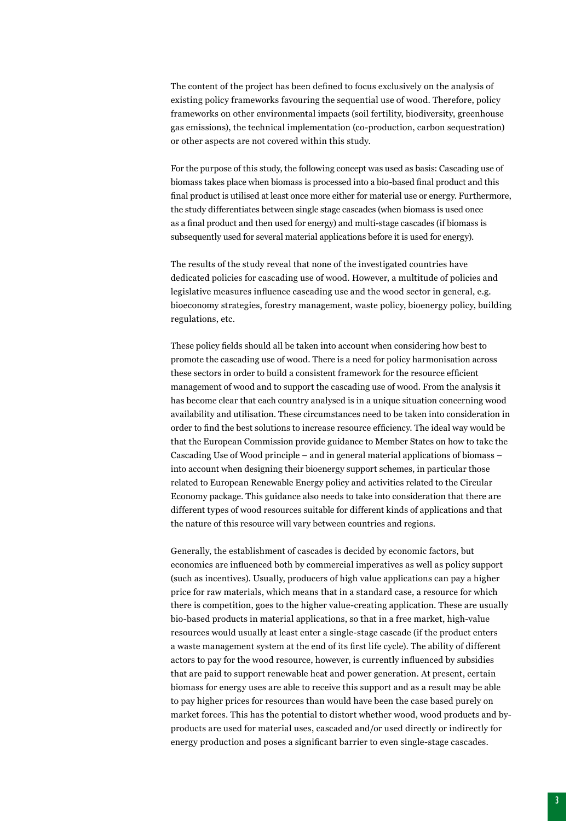The content of the project has been defined to focus exclusively on the analysis of existing policy frameworks favouring the sequential use of wood. Therefore, policy frameworks on other environmental impacts (soil fertility, biodiversity, greenhouse gas emissions), the technical implementation (co-production, carbon sequestration) or other aspects are not covered within this study.

For the purpose of this study, the following concept was used as basis: Cascading use of biomass takes place when biomass is processed into a bio-based final product and this final product is utilised at least once more either for material use or energy. Furthermore, the study differentiates between single stage cascades (when biomass is used once as a final product and then used for energy) and multi-stage cascades (if biomass is subsequently used for several material applications before it is used for energy).

The results of the study reveal that none of the investigated countries have dedicated policies for cascading use of wood. However, a multitude of policies and legislative measures influence cascading use and the wood sector in general, e.g. bioeconomy strategies, forestry management, waste policy, bioenergy policy, building regulations, etc.

These policy fields should all be taken into account when considering how best to promote the cascading use of wood. There is a need for policy harmonisation across these sectors in order to build a consistent framework for the resource efficient management of wood and to support the cascading use of wood. From the analysis it has become clear that each country analysed is in a unique situation concerning wood availability and utilisation. These circumstances need to be taken into consideration in order to find the best solutions to increase resource efficiency. The ideal way would be that the European Commission provide guidance to Member States on how to take the Cascading Use of Wood principle – and in general material applications of biomass – into account when designing their bioenergy support schemes, in particular those related to European Renewable Energy policy and activities related to the Circular Economy package. This guidance also needs to take into consideration that there are different types of wood resources suitable for different kinds of applications and that the nature of this resource will vary between countries and regions.

Generally, the establishment of cascades is decided by economic factors, but economics are influenced both by commercial imperatives as well as policy support (such as incentives). Usually, producers of high value applications can pay a higher price for raw materials, which means that in a standard case, a resource for which there is competition, goes to the higher value-creating application. These are usually bio-based products in material applications, so that in a free market, high-value resources would usually at least enter a single-stage cascade (if the product enters a waste management system at the end of its first life cycle). The ability of different actors to pay for the wood resource, however, is currently influenced by subsidies that are paid to support renewable heat and power generation. At present, certain biomass for energy uses are able to receive this support and as a result may be able to pay higher prices for resources than would have been the case based purely on market forces. This has the potential to distort whether wood, wood products and byproducts are used for material uses, cascaded and/or used directly or indirectly for energy production and poses a significant barrier to even single-stage cascades.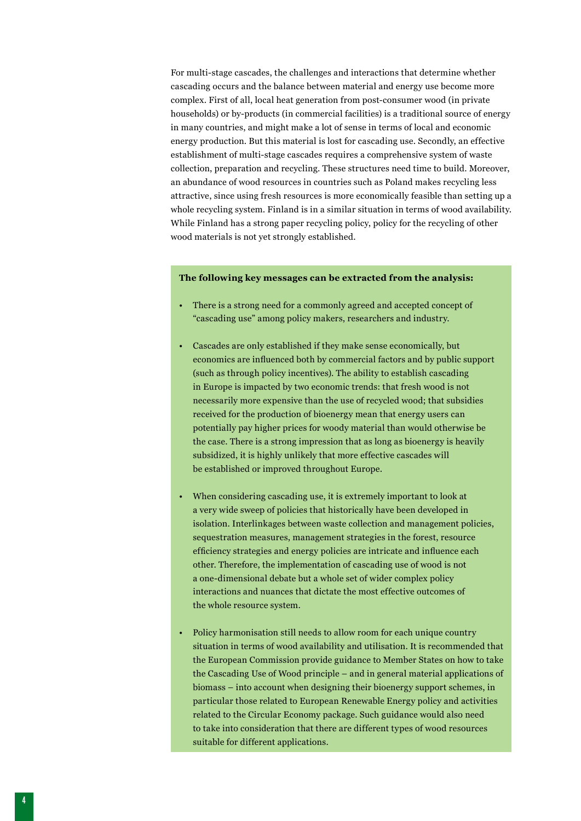For multi-stage cascades, the challenges and interactions that determine whether cascading occurs and the balance between material and energy use become more complex. First of all, local heat generation from post-consumer wood (in private households) or by-products (in commercial facilities) is a traditional source of energy in many countries, and might make a lot of sense in terms of local and economic energy production. But this material is lost for cascading use. Secondly, an effective establishment of multi-stage cascades requires a comprehensive system of waste collection, preparation and recycling. These structures need time to build. Moreover, an abundance of wood resources in countries such as Poland makes recycling less attractive, since using fresh resources is more economically feasible than setting up a whole recycling system. Finland is in a similar situation in terms of wood availability. While Finland has a strong paper recycling policy, policy for the recycling of other wood materials is not yet strongly established.

# **The following key messages can be extracted from the analysis:**

- There is a strong need for a commonly agreed and accepted concept of "cascading use" among policy makers, researchers and industry.
- Cascades are only established if they make sense economically, but economics are influenced both by commercial factors and by public support (such as through policy incentives). The ability to establish cascading in Europe is impacted by two economic trends: that fresh wood is not necessarily more expensive than the use of recycled wood; that subsidies received for the production of bioenergy mean that energy users can potentially pay higher prices for woody material than would otherwise be the case. There is a strong impression that as long as bioenergy is heavily subsidized, it is highly unlikely that more effective cascades will be established or improved throughout Europe.
- When considering cascading use, it is extremely important to look at a very wide sweep of policies that historically have been developed in isolation. Interlinkages between waste collection and management policies, sequestration measures, management strategies in the forest, resource efficiency strategies and energy policies are intricate and influence each other. Therefore, the implementation of cascading use of wood is not a one-dimensional debate but a whole set of wider complex policy interactions and nuances that dictate the most effective outcomes of the whole resource system.
- Policy harmonisation still needs to allow room for each unique country situation in terms of wood availability and utilisation. It is recommended that the European Commission provide guidance to Member States on how to take the Cascading Use of Wood principle – and in general material applications of biomass – into account when designing their bioenergy support schemes, in particular those related to European Renewable Energy policy and activities related to the Circular Economy package. Such guidance would also need to take into consideration that there are different types of wood resources suitable for different applications.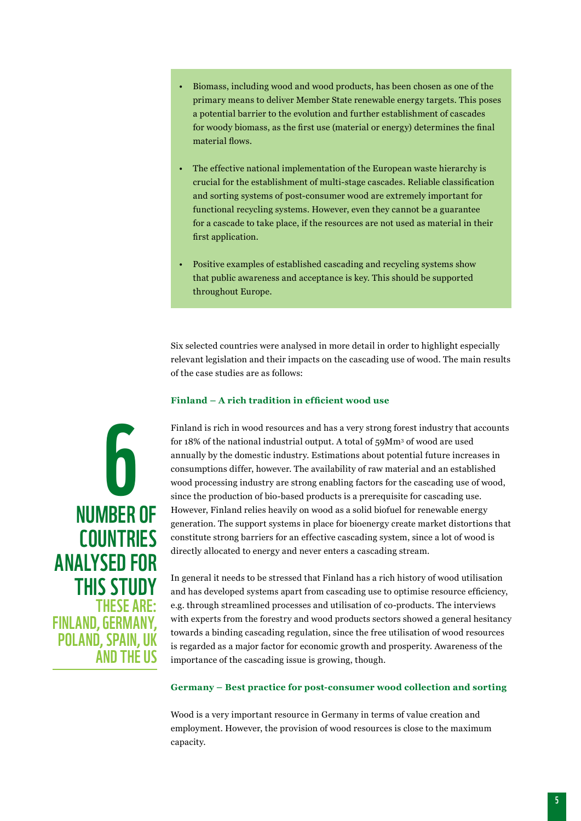- Biomass, including wood and wood products, has been chosen as one of the primary means to deliver Member State renewable energy targets. This poses a potential barrier to the evolution and further establishment of cascades for woody biomass, as the first use (material or energy) determines the final material flows.
- The effective national implementation of the European waste hierarchy is crucial for the establishment of multi-stage cascades. Reliable classification and sorting systems of post-consumer wood are extremely important for functional recycling systems. However, even they cannot be a guarantee for a cascade to take place, if the resources are not used as material in their first application.
- Positive examples of established cascading and recycling systems show that public awareness and acceptance is key. This should be supported throughout Europe.

Six selected countries were analysed in more detail in order to highlight especially relevant legislation and their impacts on the cascading use of wood. The main results of the case studies are as follows:

# **Finland – A rich tradition in efficient wood use**

6 number of **COUNTRIES** analysed for **THIS STUDY** These are: Finland, Germany, POLAND, SPAIN, UK and the US

Finland is rich in wood resources and has a very strong forest industry that accounts for 18% of the national industrial output. A total of 59Mm<sup>3</sup> of wood are used annually by the domestic industry. Estimations about potential future increases in consumptions differ, however. The availability of raw material and an established wood processing industry are strong enabling factors for the cascading use of wood, since the production of bio-based products is a prerequisite for cascading use. However, Finland relies heavily on wood as a solid biofuel for renewable energy generation. The support systems in place for bioenergy create market distortions that constitute strong barriers for an effective cascading system, since a lot of wood is directly allocated to energy and never enters a cascading stream.

In general it needs to be stressed that Finland has a rich history of wood utilisation and has developed systems apart from cascading use to optimise resource efficiency, e.g. through streamlined processes and utilisation of co-products. The interviews with experts from the forestry and wood products sectors showed a general hesitancy towards a binding cascading regulation, since the free utilisation of wood resources is regarded as a major factor for economic growth and prosperity. Awareness of the importance of the cascading issue is growing, though.

# **Germany – Best practice for post-consumer wood collection and sorting**

Wood is a very important resource in Germany in terms of value creation and employment. However, the provision of wood resources is close to the maximum capacity.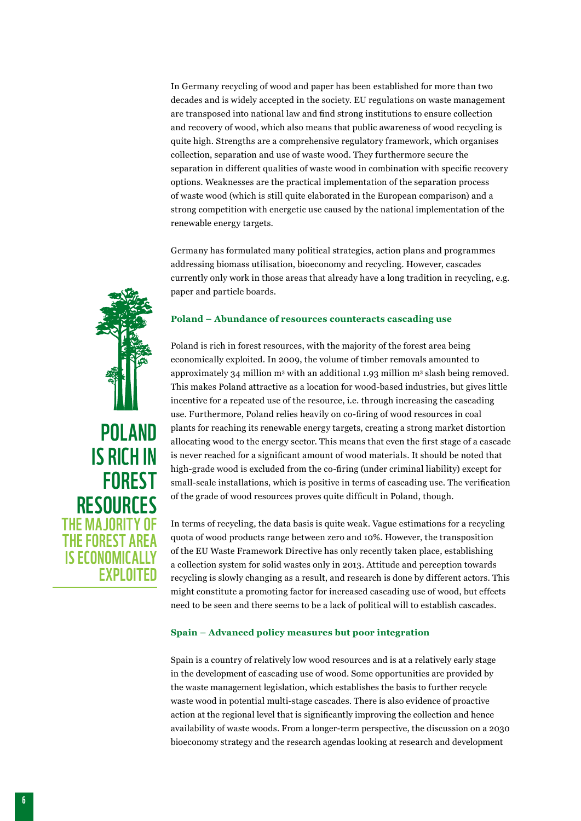In Germany recycling of wood and paper has been established for more than two decades and is widely accepted in the society. EU regulations on waste management are transposed into national law and find strong institutions to ensure collection and recovery of wood, which also means that public awareness of wood recycling is quite high. Strengths are a comprehensive regulatory framework, which organises collection, separation and use of waste wood. They furthermore secure the separation in different qualities of waste wood in combination with specific recovery options. Weaknesses are the practical implementation of the separation process of waste wood (which is still quite elaborated in the European comparison) and a strong competition with energetic use caused by the national implementation of the renewable energy targets.

Germany has formulated many political strategies, action plans and programmes addressing biomass utilisation, bioeconomy and recycling. However, cascades currently only work in those areas that already have a long tradition in recycling, e.g. paper and particle boards.

### **Poland – Abundance of resources counteracts cascading use**

Poland is rich in forest resources, with the majority of the forest area being economically exploited. In 2009, the volume of timber removals amounted to approximately 34 million  $m<sup>3</sup>$  with an additional 1.93 million  $m<sup>3</sup>$  slash being removed. This makes Poland attractive as a location for wood-based industries, but gives little incentive for a repeated use of the resource, i.e. through increasing the cascading use. Furthermore, Poland relies heavily on co-firing of wood resources in coal plants for reaching its renewable energy targets, creating a strong market distortion allocating wood to the energy sector. This means that even the first stage of a cascade is never reached for a significant amount of wood materials. It should be noted that high-grade wood is excluded from the co-firing (under criminal liability) except for small-scale installations, which is positive in terms of cascading use. The verification of the grade of wood resources proves quite difficult in Poland, though.

In terms of recycling, the data basis is quite weak. Vague estimations for a recycling quota of wood products range between zero and 10%. However, the transposition of the EU Waste Framework Directive has only recently taken place, establishing a collection system for solid wastes only in 2013. Attitude and perception towards recycling is slowly changing as a result, and research is done by different actors. This might constitute a promoting factor for increased cascading use of wood, but effects need to be seen and there seems to be a lack of political will to establish cascades.

#### **Spain – Advanced policy measures but poor integration**

Spain is a country of relatively low wood resources and is at a relatively early stage in the development of cascading use of wood. Some opportunities are provided by the waste management legislation, which establishes the basis to further recycle waste wood in potential multi-stage cascades. There is also evidence of proactive action at the regional level that is significantly improving the collection and hence availability of waste woods. From a longer-term perspective, the discussion on a 2030 bioeconomy strategy and the research agendas looking at research and development

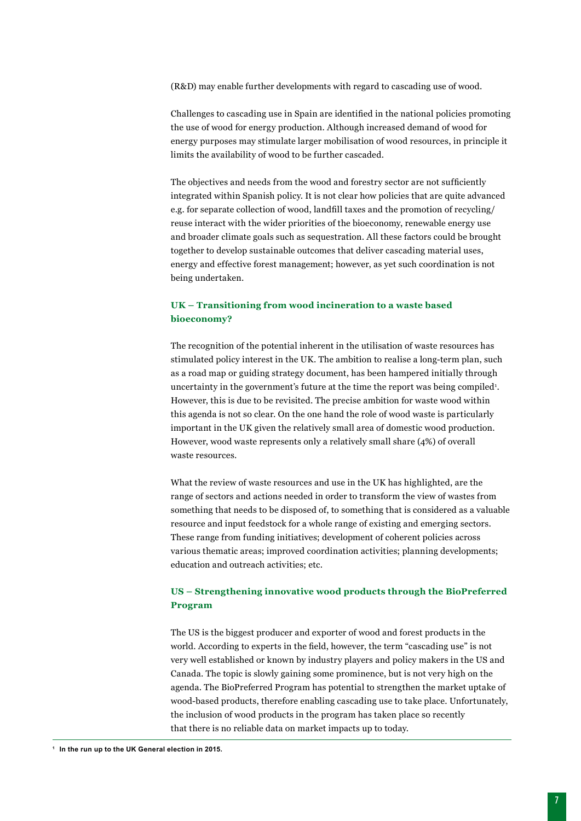(R&D) may enable further developments with regard to cascading use of wood.

Challenges to cascading use in Spain are identified in the national policies promoting the use of wood for energy production. Although increased demand of wood for energy purposes may stimulate larger mobilisation of wood resources, in principle it limits the availability of wood to be further cascaded.

The objectives and needs from the wood and forestry sector are not sufficiently integrated within Spanish policy. It is not clear how policies that are quite advanced e.g. for separate collection of wood, landfill taxes and the promotion of recycling/ reuse interact with the wider priorities of the bioeconomy, renewable energy use and broader climate goals such as sequestration. All these factors could be brought together to develop sustainable outcomes that deliver cascading material uses, energy and effective forest management; however, as yet such coordination is not being undertaken.

# **UK – Transitioning from wood incineration to a waste based bioeconomy?**

The recognition of the potential inherent in the utilisation of waste resources has stimulated policy interest in the UK. The ambition to realise a long-term plan, such as a road map or guiding strategy document, has been hampered initially through uncertainty in the government's future at the time the report was being compiled<sup>1</sup>. However, this is due to be revisited. The precise ambition for waste wood within this agenda is not so clear. On the one hand the role of wood waste is particularly important in the UK given the relatively small area of domestic wood production. However, wood waste represents only a relatively small share (4%) of overall waste resources.

What the review of waste resources and use in the UK has highlighted, are the range of sectors and actions needed in order to transform the view of wastes from something that needs to be disposed of, to something that is considered as a valuable resource and input feedstock for a whole range of existing and emerging sectors. These range from funding initiatives; development of coherent policies across various thematic areas; improved coordination activities; planning developments; education and outreach activities; etc.

# **US – Strengthening innovative wood products through the BioPreferred Program**

The US is the biggest producer and exporter of wood and forest products in the world. According to experts in the field, however, the term "cascading use" is not very well established or known by industry players and policy makers in the US and Canada. The topic is slowly gaining some prominence, but is not very high on the agenda. The BioPreferred Program has potential to strengthen the market uptake of wood-based products, therefore enabling cascading use to take place. Unfortunately, the inclusion of wood products in the program has taken place so recently that there is no reliable data on market impacts up to today.

**1 In the run up to the UK General election in 2015.**